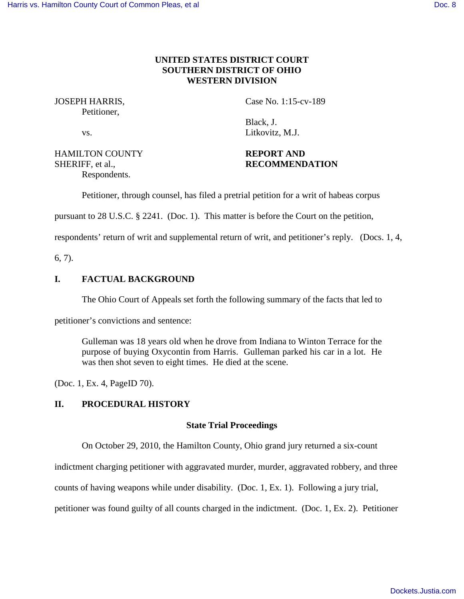# **UNITED STATES DISTRICT COURT SOUTHERN DISTRICT OF OHIO WESTERN DIVISION**

Petitioner,

JOSEPH HARRIS, Case No. 1:15-cv-189

 Black, J. vs. Litkovitz, M.J.

HAMILTON COUNTY **REPORT AND** Respondents.

SHERIFF, et al., **RECOMMENDATION** 

Petitioner, through counsel, has filed a pretrial petition for a writ of habeas corpus

pursuant to 28 U.S.C. § 2241. (Doc. 1). This matter is before the Court on the petition,

respondents' return of writ and supplemental return of writ, and petitioner's reply. (Docs. 1, 4,

6, 7).

# **I. FACTUAL BACKGROUND**

The Ohio Court of Appeals set forth the following summary of the facts that led to

petitioner's convictions and sentence:

Gulleman was 18 years old when he drove from Indiana to Winton Terrace for the purpose of buying Oxycontin from Harris. Gulleman parked his car in a lot. He was then shot seven to eight times. He died at the scene.

(Doc. 1, Ex. 4, PageID 70).

## **II. PROCEDURAL HISTORY**

## **State Trial Proceedings**

On October 29, 2010, the Hamilton County, Ohio grand jury returned a six-count

indictment charging petitioner with aggravated murder, murder, aggravated robbery, and three

counts of having weapons while under disability. (Doc. 1, Ex. 1). Following a jury trial,

petitioner was found guilty of all counts charged in the indictment. (Doc. 1, Ex. 2). Petitioner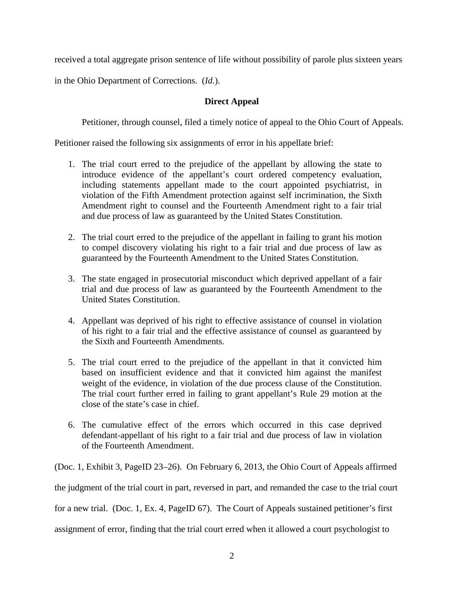received a total aggregate prison sentence of life without possibility of parole plus sixteen years

in the Ohio Department of Corrections. (*Id.*).

# **Direct Appeal**

Petitioner, through counsel, filed a timely notice of appeal to the Ohio Court of Appeals.

Petitioner raised the following six assignments of error in his appellate brief:

- 1. The trial court erred to the prejudice of the appellant by allowing the state to introduce evidence of the appellant's court ordered competency evaluation, including statements appellant made to the court appointed psychiatrist, in violation of the Fifth Amendment protection against self incrimination, the Sixth Amendment right to counsel and the Fourteenth Amendment right to a fair trial and due process of law as guaranteed by the United States Constitution.
- 2. The trial court erred to the prejudice of the appellant in failing to grant his motion to compel discovery violating his right to a fair trial and due process of law as guaranteed by the Fourteenth Amendment to the United States Constitution.
- 3. The state engaged in prosecutorial misconduct which deprived appellant of a fair trial and due process of law as guaranteed by the Fourteenth Amendment to the United States Constitution.
- 4. Appellant was deprived of his right to effective assistance of counsel in violation of his right to a fair trial and the effective assistance of counsel as guaranteed by the Sixth and Fourteenth Amendments.
- 5. The trial court erred to the prejudice of the appellant in that it convicted him based on insufficient evidence and that it convicted him against the manifest weight of the evidence, in violation of the due process clause of the Constitution. The trial court further erred in failing to grant appellant's Rule 29 motion at the close of the state's case in chief.
- 6. The cumulative effect of the errors which occurred in this case deprived defendant-appellant of his right to a fair trial and due process of law in violation of the Fourteenth Amendment.

(Doc. 1, Exhibit 3, PageID 23–26). On February 6, 2013, the Ohio Court of Appeals affirmed the judgment of the trial court in part, reversed in part, and remanded the case to the trial court for a new trial. (Doc. 1, Ex. 4, PageID 67). The Court of Appeals sustained petitioner's first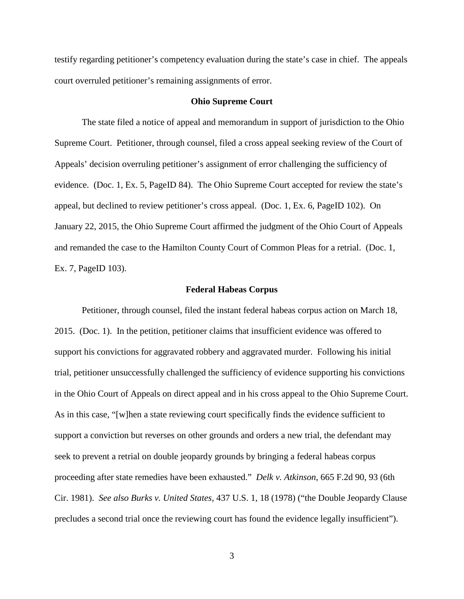testify regarding petitioner's competency evaluation during the state's case in chief. The appeals court overruled petitioner's remaining assignments of error.

### **Ohio Supreme Court**

 The state filed a notice of appeal and memorandum in support of jurisdiction to the Ohio Supreme Court. Petitioner, through counsel, filed a cross appeal seeking review of the Court of Appeals' decision overruling petitioner's assignment of error challenging the sufficiency of evidence. (Doc. 1, Ex. 5, PageID 84). The Ohio Supreme Court accepted for review the state's appeal, but declined to review petitioner's cross appeal. (Doc. 1, Ex. 6, PageID 102). On January 22, 2015, the Ohio Supreme Court affirmed the judgment of the Ohio Court of Appeals and remanded the case to the Hamilton County Court of Common Pleas for a retrial. (Doc. 1, Ex. 7, PageID 103).

#### **Federal Habeas Corpus**

Petitioner, through counsel, filed the instant federal habeas corpus action on March 18, 2015. (Doc. 1). In the petition, petitioner claims that insufficient evidence was offered to support his convictions for aggravated robbery and aggravated murder. Following his initial trial, petitioner unsuccessfully challenged the sufficiency of evidence supporting his convictions in the Ohio Court of Appeals on direct appeal and in his cross appeal to the Ohio Supreme Court. As in this case, "[w]hen a state reviewing court specifically finds the evidence sufficient to support a conviction but reverses on other grounds and orders a new trial, the defendant may seek to prevent a retrial on double jeopardy grounds by bringing a federal habeas corpus proceeding after state remedies have been exhausted." *Delk v. Atkinson*, 665 F.2d 90, 93 (6th Cir. 1981). *See also Burks v. United States,* 437 U.S. 1, 18 (1978) ("the Double Jeopardy Clause precludes a second trial once the reviewing court has found the evidence legally insufficient").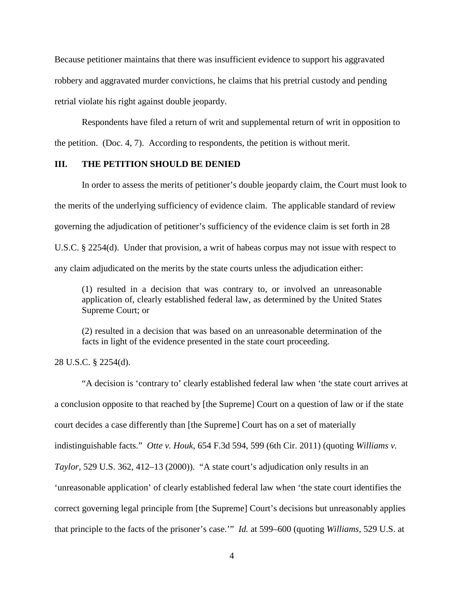Because petitioner maintains that there was insufficient evidence to support his aggravated robbery and aggravated murder convictions, he claims that his pretrial custody and pending retrial violate his right against double jeopardy.

 Respondents have filed a return of writ and supplemental return of writ in opposition to the petition. (Doc. 4, 7). According to respondents, the petition is without merit.

### **III. THE PETITION SHOULD BE DENIED**

 In order to assess the merits of petitioner's double jeopardy claim, the Court must look to the merits of the underlying sufficiency of evidence claim. The applicable standard of review governing the adjudication of petitioner's sufficiency of the evidence claim is set forth in 28 U.S.C. § 2254(d). Under that provision, a writ of habeas corpus may not issue with respect to any claim adjudicated on the merits by the state courts unless the adjudication either:

(1) resulted in a decision that was contrary to, or involved an unreasonable application of, clearly established federal law, as determined by the United States Supreme Court; or

(2) resulted in a decision that was based on an unreasonable determination of the facts in light of the evidence presented in the state court proceeding.

28 U.S.C. § 2254(d).

"A decision is 'contrary to' clearly established federal law when 'the state court arrives at a conclusion opposite to that reached by [the Supreme] Court on a question of law or if the state court decides a case differently than [the Supreme] Court has on a set of materially indistinguishable facts." *Otte v. Houk,* 654 F.3d 594, 599 (6th Cir. 2011) (quoting *Williams v. Taylor,* 529 U.S. 362, 412–13 (2000)). "A state court's adjudication only results in an 'unreasonable application' of clearly established federal law when 'the state court identifies the correct governing legal principle from [the Supreme] Court's decisions but unreasonably applies that principle to the facts of the prisoner's case.'" *Id.* at 599–600 (quoting *Williams,* 529 U.S. at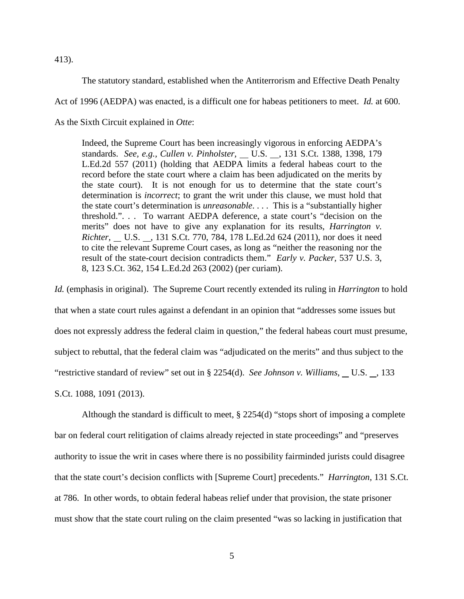413).

The statutory standard, established when the Antiterrorism and Effective Death Penalty

Act of 1996 (AEDPA) was enacted, is a difficult one for habeas petitioners to meet. *Id.* at 600.

As the Sixth Circuit explained in *Otte*:

Indeed, the Supreme Court has been increasingly vigorous in enforcing AEDPA's standards. *See, e.g., Cullen v. Pinholster,* \_\_ U.S. \_\_, 131 S.Ct. 1388, 1398, 179 L.Ed.2d 557 (2011) (holding that AEDPA limits a federal habeas court to the record before the state court where a claim has been adjudicated on the merits by the state court). It is not enough for us to determine that the state court's determination is *incorrect*; to grant the writ under this clause, we must hold that the state court's determination is *unreasonable*. . . . This is a "substantially higher threshold.". . . To warrant AEDPA deference, a state court's "decision on the merits" does not have to give any explanation for its results, *Harrington v. Richter,* U.S. , 131 S.Ct. 770, 784, 178 L.Ed.2d 624 (2011), nor does it need to cite the relevant Supreme Court cases, as long as "neither the reasoning nor the result of the state-court decision contradicts them." *Early v. Packer,* 537 U.S. 3, 8, 123 S.Ct. 362, 154 L.Ed.2d 263 (2002) (per curiam).

*Id.* (emphasis in original). The Supreme Court recently extended its ruling in *Harrington* to hold that when a state court rules against a defendant in an opinion that "addresses some issues but does not expressly address the federal claim in question," the federal habeas court must presume, subject to rebuttal, that the federal claim was "adjudicated on the merits" and thus subject to the "restrictive standard of review" set out in § 2254(d). *See Johnson v. Williams*, U.S. , 133 S.Ct. 1088, 1091 (2013).

 Although the standard is difficult to meet, § 2254(d) "stops short of imposing a complete bar on federal court relitigation of claims already rejected in state proceedings" and "preserves authority to issue the writ in cases where there is no possibility fairminded jurists could disagree that the state court's decision conflicts with [Supreme Court] precedents." *Harrington*, 131 S.Ct. at 786. In other words, to obtain federal habeas relief under that provision, the state prisoner must show that the state court ruling on the claim presented "was so lacking in justification that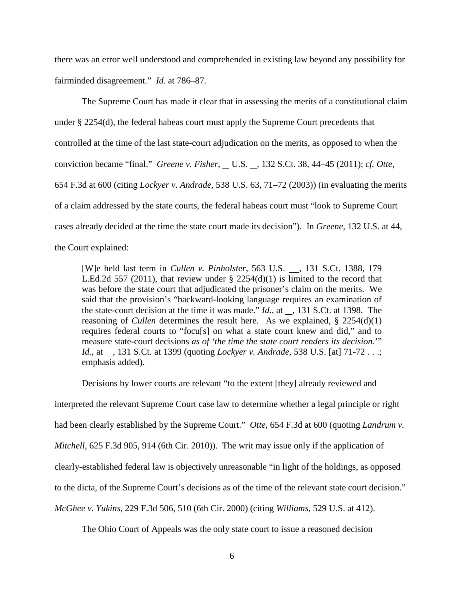there was an error well understood and comprehended in existing law beyond any possibility for fairminded disagreement." *Id.* at 786–87.

The Supreme Court has made it clear that in assessing the merits of a constitutional claim under § 2254(d), the federal habeas court must apply the Supreme Court precedents that controlled at the time of the last state-court adjudication on the merits, as opposed to when the conviction became "final." *Greene v. Fisher*, U.S. , 132 S.Ct. 38, 44–45 (2011); *cf. Otte,* 654 F.3d at 600 (citing *Lockyer v. Andrade,* 538 U.S. 63, 71–72 (2003)) (in evaluating the merits of a claim addressed by the state courts, the federal habeas court must "look to Supreme Court cases already decided at the time the state court made its decision"). In *Greene*, 132 U.S. at 44, the Court explained:

[W]e held last term in *Cullen v. Pinholster*, 563 U.S. , 131 S.Ct. 1388, 179 L.Ed.2d 557 (2011), that review under  $\S$  2254(d)(1) is limited to the record that was before the state court that adjudicated the prisoner's claim on the merits. We said that the provision's "backward-looking language requires an examination of the state-court decision at the time it was made."  $Id.$ , at  $\_$ , 131 S.Ct. at 1398. The reasoning of *Cullen* determines the result here. As we explained, § 2254(d)(1) requires federal courts to "focu[s] on what a state court knew and did," and to measure state-court decisions *as of 'the time the state court renders its decision*.'" *Id.*, at \_, 131 S.Ct. at 1399 (quoting *Lockyer v. Andrade,* 538 U.S. [at] 71-72 . . .; emphasis added).

Decisions by lower courts are relevant "to the extent [they] already reviewed and interpreted the relevant Supreme Court case law to determine whether a legal principle or right had been clearly established by the Supreme Court." *Otte*, 654 F.3d at 600 (quoting *Landrum v. Mitchell*, 625 F.3d 905, 914 (6th Cir. 2010)). The writ may issue only if the application of clearly-established federal law is objectively unreasonable "in light of the holdings, as opposed to the dicta, of the Supreme Court's decisions as of the time of the relevant state court decision." *McGhee v. Yukins,* 229 F.3d 506, 510 (6th Cir. 2000) (citing *Williams,* 529 U.S. at 412).

The Ohio Court of Appeals was the only state court to issue a reasoned decision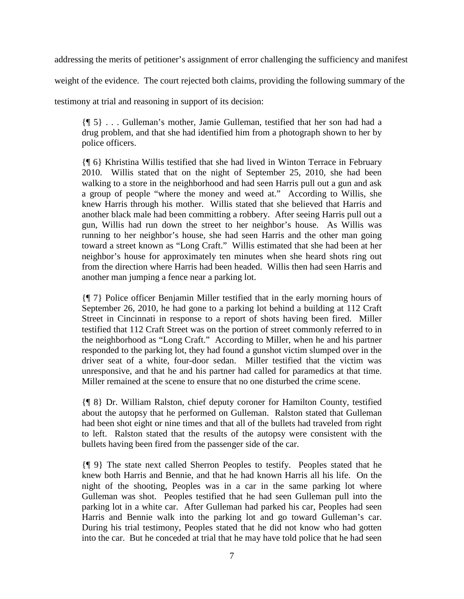addressing the merits of petitioner's assignment of error challenging the sufficiency and manifest

weight of the evidence. The court rejected both claims, providing the following summary of the

testimony at trial and reasoning in support of its decision:

{¶ 5} . . . Gulleman's mother, Jamie Gulleman, testified that her son had had a drug problem, and that she had identified him from a photograph shown to her by police officers.

{¶ 6} Khristina Willis testified that she had lived in Winton Terrace in February 2010. Willis stated that on the night of September 25, 2010, she had been walking to a store in the neighborhood and had seen Harris pull out a gun and ask a group of people "where the money and weed at." According to Willis, she knew Harris through his mother. Willis stated that she believed that Harris and another black male had been committing a robbery. After seeing Harris pull out a gun, Willis had run down the street to her neighbor's house. As Willis was running to her neighbor's house, she had seen Harris and the other man going toward a street known as "Long Craft." Willis estimated that she had been at her neighbor's house for approximately ten minutes when she heard shots ring out from the direction where Harris had been headed. Willis then had seen Harris and another man jumping a fence near a parking lot.

{¶ 7} Police officer Benjamin Miller testified that in the early morning hours of September 26, 2010, he had gone to a parking lot behind a building at 112 Craft Street in Cincinnati in response to a report of shots having been fired. Miller testified that 112 Craft Street was on the portion of street commonly referred to in the neighborhood as "Long Craft." According to Miller, when he and his partner responded to the parking lot, they had found a gunshot victim slumped over in the driver seat of a white, four-door sedan. Miller testified that the victim was unresponsive, and that he and his partner had called for paramedics at that time. Miller remained at the scene to ensure that no one disturbed the crime scene.

{¶ 8} Dr. William Ralston, chief deputy coroner for Hamilton County, testified about the autopsy that he performed on Gulleman. Ralston stated that Gulleman had been shot eight or nine times and that all of the bullets had traveled from right to left. Ralston stated that the results of the autopsy were consistent with the bullets having been fired from the passenger side of the car.

{¶ 9} The state next called Sherron Peoples to testify. Peoples stated that he knew both Harris and Bennie, and that he had known Harris all his life. On the night of the shooting, Peoples was in a car in the same parking lot where Gulleman was shot. Peoples testified that he had seen Gulleman pull into the parking lot in a white car. After Gulleman had parked his car, Peoples had seen Harris and Bennie walk into the parking lot and go toward Gulleman's car. During his trial testimony, Peoples stated that he did not know who had gotten into the car. But he conceded at trial that he may have told police that he had seen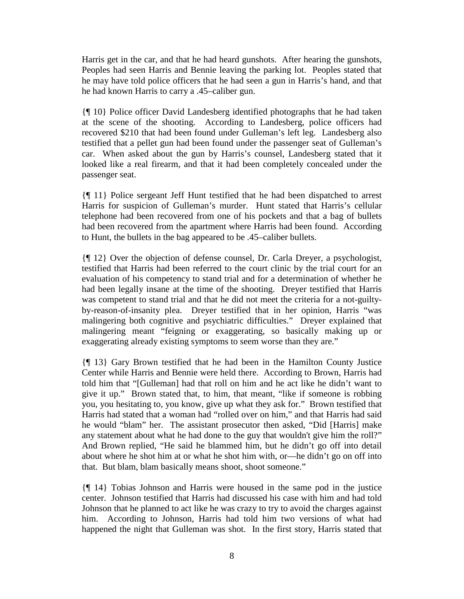Harris get in the car, and that he had heard gunshots. After hearing the gunshots, Peoples had seen Harris and Bennie leaving the parking lot. Peoples stated that he may have told police officers that he had seen a gun in Harris's hand, and that he had known Harris to carry a .45–caliber gun.

{¶ 10} Police officer David Landesberg identified photographs that he had taken at the scene of the shooting. According to Landesberg, police officers had recovered \$210 that had been found under Gulleman's left leg. Landesberg also testified that a pellet gun had been found under the passenger seat of Gulleman's car. When asked about the gun by Harris's counsel, Landesberg stated that it looked like a real firearm, and that it had been completely concealed under the passenger seat.

{¶ 11} Police sergeant Jeff Hunt testified that he had been dispatched to arrest Harris for suspicion of Gulleman's murder. Hunt stated that Harris's cellular telephone had been recovered from one of his pockets and that a bag of bullets had been recovered from the apartment where Harris had been found. According to Hunt, the bullets in the bag appeared to be .45–caliber bullets.

{¶ 12} Over the objection of defense counsel, Dr. Carla Dreyer, a psychologist, testified that Harris had been referred to the court clinic by the trial court for an evaluation of his competency to stand trial and for a determination of whether he had been legally insane at the time of the shooting. Dreyer testified that Harris was competent to stand trial and that he did not meet the criteria for a not-guiltyby-reason-of-insanity plea. Dreyer testified that in her opinion, Harris "was malingering both cognitive and psychiatric difficulties." Dreyer explained that malingering meant "feigning or exaggerating, so basically making up or exaggerating already existing symptoms to seem worse than they are."

{¶ 13} Gary Brown testified that he had been in the Hamilton County Justice Center while Harris and Bennie were held there. According to Brown, Harris had told him that "[Gulleman] had that roll on him and he act like he didn't want to give it up." Brown stated that, to him, that meant, "like if someone is robbing you, you hesitating to, you know, give up what they ask for." Brown testified that Harris had stated that a woman had "rolled over on him," and that Harris had said he would "blam" her. The assistant prosecutor then asked, "Did [Harris] make any statement about what he had done to the guy that wouldn't give him the roll?" And Brown replied, "He said he blammed him, but he didn't go off into detail about where he shot him at or what he shot him with, or—he didn't go on off into that. But blam, blam basically means shoot, shoot someone."

{¶ 14} Tobias Johnson and Harris were housed in the same pod in the justice center. Johnson testified that Harris had discussed his case with him and had told Johnson that he planned to act like he was crazy to try to avoid the charges against him. According to Johnson, Harris had told him two versions of what had happened the night that Gulleman was shot. In the first story, Harris stated that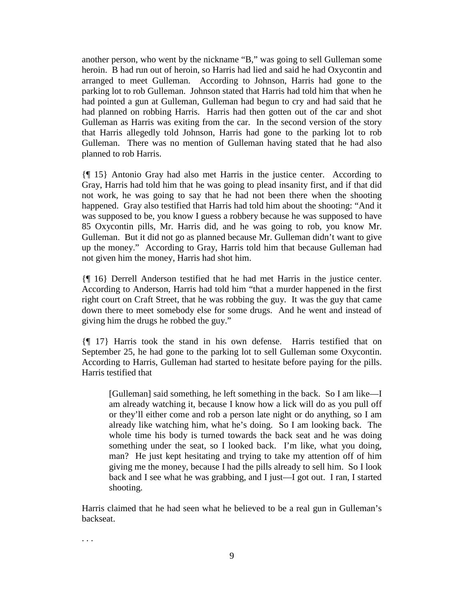another person, who went by the nickname "B," was going to sell Gulleman some heroin. B had run out of heroin, so Harris had lied and said he had Oxycontin and arranged to meet Gulleman. According to Johnson, Harris had gone to the parking lot to rob Gulleman. Johnson stated that Harris had told him that when he had pointed a gun at Gulleman, Gulleman had begun to cry and had said that he had planned on robbing Harris. Harris had then gotten out of the car and shot Gulleman as Harris was exiting from the car. In the second version of the story that Harris allegedly told Johnson, Harris had gone to the parking lot to rob Gulleman. There was no mention of Gulleman having stated that he had also planned to rob Harris.

{¶ 15} Antonio Gray had also met Harris in the justice center. According to Gray, Harris had told him that he was going to plead insanity first, and if that did not work, he was going to say that he had not been there when the shooting happened. Gray also testified that Harris had told him about the shooting: "And it was supposed to be, you know I guess a robbery because he was supposed to have 85 Oxycontin pills, Mr. Harris did, and he was going to rob, you know Mr. Gulleman. But it did not go as planned because Mr. Gulleman didn't want to give up the money." According to Gray, Harris told him that because Gulleman had not given him the money, Harris had shot him.

{¶ 16} Derrell Anderson testified that he had met Harris in the justice center. According to Anderson, Harris had told him "that a murder happened in the first right court on Craft Street, that he was robbing the guy. It was the guy that came down there to meet somebody else for some drugs. And he went and instead of giving him the drugs he robbed the guy."

{¶ 17} Harris took the stand in his own defense. Harris testified that on September 25, he had gone to the parking lot to sell Gulleman some Oxycontin. According to Harris, Gulleman had started to hesitate before paying for the pills. Harris testified that

[Gulleman] said something, he left something in the back. So I am like—I am already watching it, because I know how a lick will do as you pull off or they'll either come and rob a person late night or do anything, so I am already like watching him, what he's doing. So I am looking back. The whole time his body is turned towards the back seat and he was doing something under the seat, so I looked back. I'm like, what you doing, man? He just kept hesitating and trying to take my attention off of him giving me the money, because I had the pills already to sell him. So I look back and I see what he was grabbing, and I just—I got out. I ran, I started shooting.

Harris claimed that he had seen what he believed to be a real gun in Gulleman's backseat.

. . .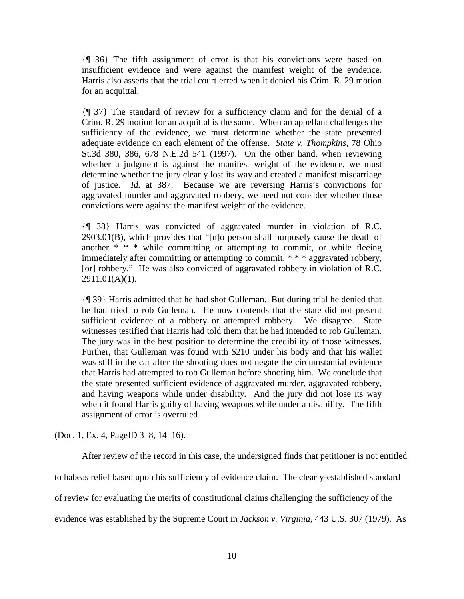{¶ 36} The fifth assignment of error is that his convictions were based on insufficient evidence and were against the manifest weight of the evidence. Harris also asserts that the trial court erred when it denied his Crim. R. 29 motion for an acquittal.

{¶ 37} The standard of review for a sufficiency claim and for the denial of a Crim. R. 29 motion for an acquittal is the same. When an appellant challenges the sufficiency of the evidence, we must determine whether the state presented adequate evidence on each element of the offense. *State v. Thompkins,* 78 Ohio St.3d 380, 386, 678 N.E.2d 541 (1997). On the other hand, when reviewing whether a judgment is against the manifest weight of the evidence, we must determine whether the jury clearly lost its way and created a manifest miscarriage of justice. *Id.* at 387. Because we are reversing Harris's convictions for aggravated murder and aggravated robbery, we need not consider whether those convictions were against the manifest weight of the evidence.

{¶ 38} Harris was convicted of aggravated murder in violation of R.C. 2903.01(B), which provides that "[n]o person shall purposely cause the death of another  $* * *$  while committing or attempting to commit, or while fleeing immediately after committing or attempting to commit, \* \* \* aggravated robbery, [or] robbery." He was also convicted of aggravated robbery in violation of R.C. 2911.01(A)(1).

{¶ 39} Harris admitted that he had shot Gulleman. But during trial he denied that he had tried to rob Gulleman. He now contends that the state did not present sufficient evidence of a robbery or attempted robbery. We disagree. State witnesses testified that Harris had told them that he had intended to rob Gulleman. The jury was in the best position to determine the credibility of those witnesses. Further, that Gulleman was found with \$210 under his body and that his wallet was still in the car after the shooting does not negate the circumstantial evidence that Harris had attempted to rob Gulleman before shooting him. We conclude that the state presented sufficient evidence of aggravated murder, aggravated robbery, and having weapons while under disability. And the jury did not lose its way when it found Harris guilty of having weapons while under a disability. The fifth assignment of error is overruled.

(Doc. 1, Ex. 4, PageID 3–8, 14–16).

 After review of the record in this case, the undersigned finds that petitioner is not entitled to habeas relief based upon his sufficiency of evidence claim. The clearly-established standard of review for evaluating the merits of constitutional claims challenging the sufficiency of the evidence was established by the Supreme Court in *Jackson v. Virginia*, 443 U.S. 307 (1979). As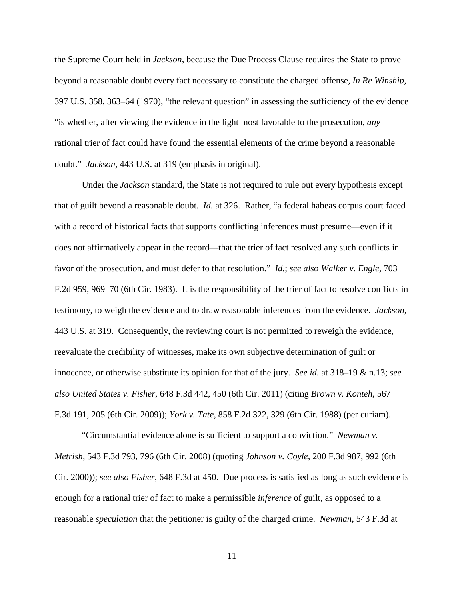the Supreme Court held in *Jackson*, because the Due Process Clause requires the State to prove beyond a reasonable doubt every fact necessary to constitute the charged offense, *In Re Winship,* 397 U.S. 358, 363–64 (1970), "the relevant question" in assessing the sufficiency of the evidence "is whether, after viewing the evidence in the light most favorable to the prosecution, *any* rational trier of fact could have found the essential elements of the crime beyond a reasonable doubt." *Jackson,* 443 U.S. at 319 (emphasis in original).

 Under the *Jackson* standard, the State is not required to rule out every hypothesis except that of guilt beyond a reasonable doubt. *Id.* at 326. Rather, "a federal habeas corpus court faced with a record of historical facts that supports conflicting inferences must presume—even if it does not affirmatively appear in the record—that the trier of fact resolved any such conflicts in favor of the prosecution, and must defer to that resolution." *Id.*; *see also Walker v. Engle,* 703 F.2d 959, 969–70 (6th Cir. 1983). It is the responsibility of the trier of fact to resolve conflicts in testimony, to weigh the evidence and to draw reasonable inferences from the evidence. *Jackson,* 443 U.S. at 319. Consequently, the reviewing court is not permitted to reweigh the evidence, reevaluate the credibility of witnesses, make its own subjective determination of guilt or innocence, or otherwise substitute its opinion for that of the jury. *See id.* at 318–19 & n.13; *see also United States v. Fisher,* 648 F.3d 442, 450 (6th Cir. 2011) (citing *Brown v. Konteh,* 567 F.3d 191, 205 (6th Cir. 2009)); *York v. Tate,* 858 F.2d 322, 329 (6th Cir. 1988) (per curiam).

 "Circumstantial evidence alone is sufficient to support a conviction." *Newman v. Metrish,* 543 F.3d 793, 796 (6th Cir. 2008) (quoting *Johnson v. Coyle,* 200 F.3d 987, 992 (6th Cir. 2000)); *see also Fisher*, 648 F.3d at 450. Due process is satisfied as long as such evidence is enough for a rational trier of fact to make a permissible *inference* of guilt, as opposed to a reasonable *speculation* that the petitioner is guilty of the charged crime. *Newman,* 543 F.3d at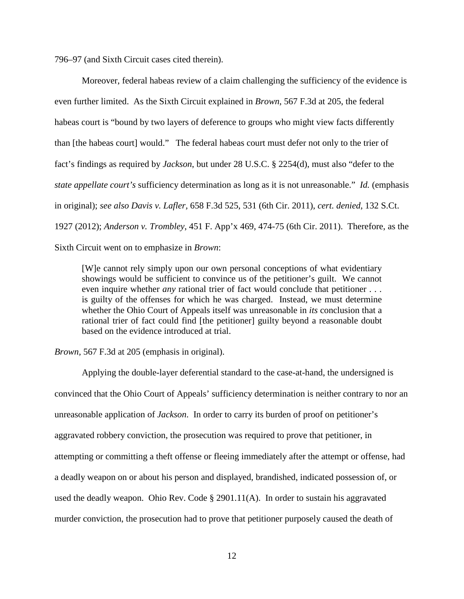796–97 (and Sixth Circuit cases cited therein).

Moreover, federal habeas review of a claim challenging the sufficiency of the evidence is even further limited. As the Sixth Circuit explained in *Brown*, 567 F.3d at 205, the federal habeas court is "bound by two layers of deference to groups who might view facts differently than [the habeas court] would." The federal habeas court must defer not only to the trier of fact's findings as required by *Jackson*, but under 28 U.S.C. § 2254(d), must also "defer to the *state appellate court's* sufficiency determination as long as it is not unreasonable." *Id.* (emphasis in original); *see also Davis v. Lafler,* 658 F.3d 525, 531 (6th Cir. 2011), *cert. denied*, 132 S.Ct. 1927 (2012); *Anderson v. Trombley*, 451 F. App'x 469, 474-75 (6th Cir. 2011). Therefore, as the Sixth Circuit went on to emphasize in *Brown*:

[W]e cannot rely simply upon our own personal conceptions of what evidentiary showings would be sufficient to convince us of the petitioner's guilt. We cannot even inquire whether *any* rational trier of fact would conclude that petitioner . . . is guilty of the offenses for which he was charged. Instead, we must determine whether the Ohio Court of Appeals itself was unreasonable in *its* conclusion that a rational trier of fact could find [the petitioner] guilty beyond a reasonable doubt based on the evidence introduced at trial.

*Brown,* 567 F.3d at 205 (emphasis in original).

 Applying the double-layer deferential standard to the case-at-hand, the undersigned is convinced that the Ohio Court of Appeals' sufficiency determination is neither contrary to nor an unreasonable application of *Jackson*. In order to carry its burden of proof on petitioner's aggravated robbery conviction, the prosecution was required to prove that petitioner, in attempting or committing a theft offense or fleeing immediately after the attempt or offense, had a deadly weapon on or about his person and displayed, brandished, indicated possession of, or used the deadly weapon. Ohio Rev. Code § 2901.11(A). In order to sustain his aggravated murder conviction, the prosecution had to prove that petitioner purposely caused the death of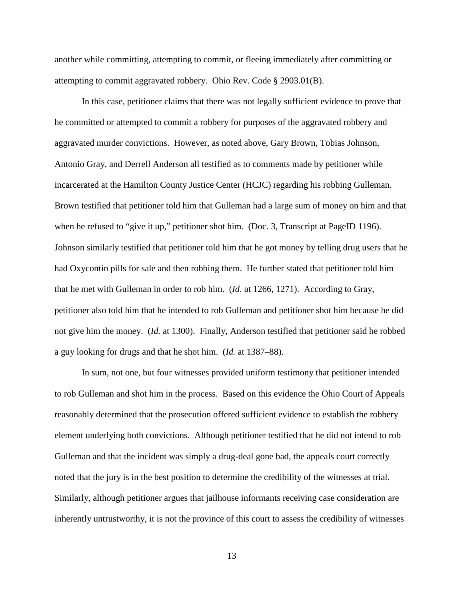another while committing, attempting to commit, or fleeing immediately after committing or attempting to commit aggravated robbery. Ohio Rev. Code § 2903.01(B).

 In this case, petitioner claims that there was not legally sufficient evidence to prove that he committed or attempted to commit a robbery for purposes of the aggravated robbery and aggravated murder convictions. However, as noted above, Gary Brown, Tobias Johnson, Antonio Gray, and Derrell Anderson all testified as to comments made by petitioner while incarcerated at the Hamilton County Justice Center (HCJC) regarding his robbing Gulleman. Brown testified that petitioner told him that Gulleman had a large sum of money on him and that when he refused to "give it up," petitioner shot him. (Doc. 3, Transcript at PageID 1196). Johnson similarly testified that petitioner told him that he got money by telling drug users that he had Oxycontin pills for sale and then robbing them. He further stated that petitioner told him that he met with Gulleman in order to rob him. (*Id.* at 1266, 1271). According to Gray, petitioner also told him that he intended to rob Gulleman and petitioner shot him because he did not give him the money. (*Id.* at 1300). Finally, Anderson testified that petitioner said he robbed a guy looking for drugs and that he shot him. (*Id.* at 1387–88).

 In sum, not one, but four witnesses provided uniform testimony that petitioner intended to rob Gulleman and shot him in the process. Based on this evidence the Ohio Court of Appeals reasonably determined that the prosecution offered sufficient evidence to establish the robbery element underlying both convictions. Although petitioner testified that he did not intend to rob Gulleman and that the incident was simply a drug-deal gone bad, the appeals court correctly noted that the jury is in the best position to determine the credibility of the witnesses at trial. Similarly, although petitioner argues that jailhouse informants receiving case consideration are inherently untrustworthy, it is not the province of this court to assess the credibility of witnesses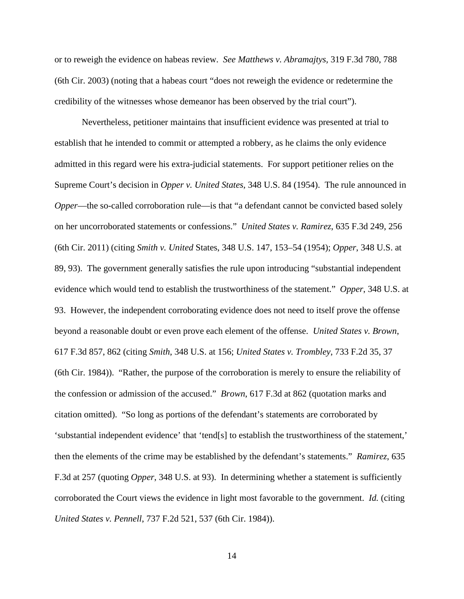or to reweigh the evidence on habeas review. *See Matthews v. Abramajtys,* 319 F.3d 780, 788 (6th Cir. 2003) (noting that a habeas court "does not reweigh the evidence or redetermine the credibility of the witnesses whose demeanor has been observed by the trial court").

Nevertheless, petitioner maintains that insufficient evidence was presented at trial to establish that he intended to commit or attempted a robbery, as he claims the only evidence admitted in this regard were his extra-judicial statements. For support petitioner relies on the Supreme Court's decision in *Opper v. United States*, 348 U.S. 84 (1954). The rule announced in *Opper*—the so-called corroboration rule—is that "a defendant cannot be convicted based solely on her uncorroborated statements or confessions." *United States v. Ramirez*, 635 F.3d 249, 256 (6th Cir. 2011) (citing *Smith v. United* States, 348 U.S. 147, 153–54 (1954); *Opper*, 348 U.S. at 89, 93). The government generally satisfies the rule upon introducing "substantial independent evidence which would tend to establish the trustworthiness of the statement." *Opper*, 348 U.S. at 93. However, the independent corroborating evidence does not need to itself prove the offense beyond a reasonable doubt or even prove each element of the offense. *United States v. Brown*, 617 F.3d 857, 862 (citing *Smith*, 348 U.S. at 156; *United States v. Trombley*, 733 F.2d 35, 37 (6th Cir. 1984)). "Rather, the purpose of the corroboration is merely to ensure the reliability of the confession or admission of the accused." *Brown*, 617 F.3d at 862 (quotation marks and citation omitted). "So long as portions of the defendant's statements are corroborated by 'substantial independent evidence' that 'tend[s] to establish the trustworthiness of the statement,' then the elements of the crime may be established by the defendant's statements." *Ramirez*, 635 F.3d at 257 (quoting *Opper*, 348 U.S. at 93). In determining whether a statement is sufficiently corroborated the Court views the evidence in light most favorable to the government. *Id.* (citing *United States v. Pennell*, 737 F.2d 521, 537 (6th Cir. 1984)).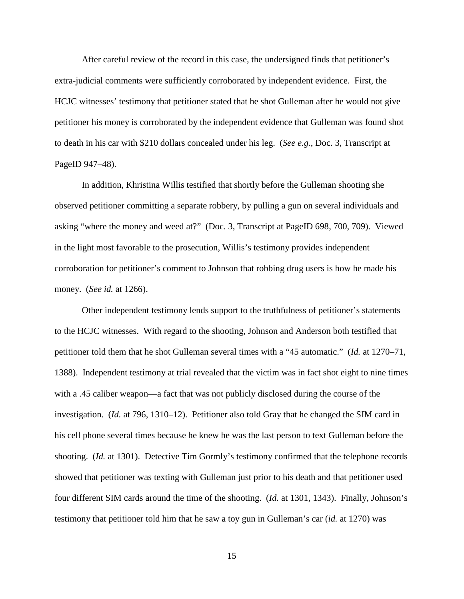After careful review of the record in this case, the undersigned finds that petitioner's extra-judicial comments were sufficiently corroborated by independent evidence. First, the HCJC witnesses' testimony that petitioner stated that he shot Gulleman after he would not give petitioner his money is corroborated by the independent evidence that Gulleman was found shot to death in his car with \$210 dollars concealed under his leg. (*See e.g.*, Doc. 3, Transcript at PageID 947–48).

In addition, Khristina Willis testified that shortly before the Gulleman shooting she observed petitioner committing a separate robbery, by pulling a gun on several individuals and asking "where the money and weed at?" (Doc. 3, Transcript at PageID 698, 700, 709). Viewed in the light most favorable to the prosecution, Willis's testimony provides independent corroboration for petitioner's comment to Johnson that robbing drug users is how he made his money. (*See id.* at 1266).

Other independent testimony lends support to the truthfulness of petitioner's statements to the HCJC witnesses. With regard to the shooting, Johnson and Anderson both testified that petitioner told them that he shot Gulleman several times with a "45 automatic." (*Id.* at 1270–71, 1388). Independent testimony at trial revealed that the victim was in fact shot eight to nine times with a .45 caliber weapon—a fact that was not publicly disclosed during the course of the investigation. (*Id.* at 796, 1310–12). Petitioner also told Gray that he changed the SIM card in his cell phone several times because he knew he was the last person to text Gulleman before the shooting. (*Id.* at 1301). Detective Tim Gormly's testimony confirmed that the telephone records showed that petitioner was texting with Gulleman just prior to his death and that petitioner used four different SIM cards around the time of the shooting. (*Id.* at 1301, 1343). Finally, Johnson's testimony that petitioner told him that he saw a toy gun in Gulleman's car (*id.* at 1270) was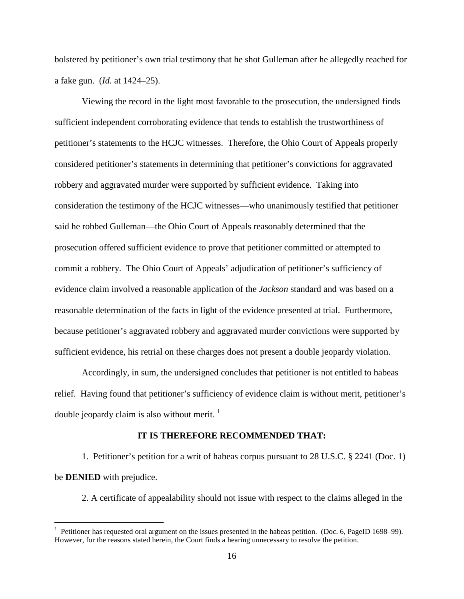bolstered by petitioner's own trial testimony that he shot Gulleman after he allegedly reached for a fake gun. (*Id.* at 1424–25).

Viewing the record in the light most favorable to the prosecution, the undersigned finds sufficient independent corroborating evidence that tends to establish the trustworthiness of petitioner's statements to the HCJC witnesses. Therefore, the Ohio Court of Appeals properly considered petitioner's statements in determining that petitioner's convictions for aggravated robbery and aggravated murder were supported by sufficient evidence. Taking into consideration the testimony of the HCJC witnesses—who unanimously testified that petitioner said he robbed Gulleman—the Ohio Court of Appeals reasonably determined that the prosecution offered sufficient evidence to prove that petitioner committed or attempted to commit a robbery. The Ohio Court of Appeals' adjudication of petitioner's sufficiency of evidence claim involved a reasonable application of the *Jackson* standard and was based on a reasonable determination of the facts in light of the evidence presented at trial. Furthermore, because petitioner's aggravated robbery and aggravated murder convictions were supported by sufficient evidence, his retrial on these charges does not present a double jeopardy violation.

 Accordingly, in sum, the undersigned concludes that petitioner is not entitled to habeas relief. Having found that petitioner's sufficiency of evidence claim is without merit, petitioner's double jeopardy claim is also without merit.<sup>[1](#page-15-0)</sup>

### **IT IS THEREFORE RECOMMENDED THAT:**

 1. Petitioner's petition for a writ of habeas corpus pursuant to 28 U.S.C. § 2241 (Doc. 1) be **DENIED** with prejudice.

2. A certificate of appealability should not issue with respect to the claims alleged in the

<span id="page-15-0"></span><sup>&</sup>lt;sup>1</sup> Petitioner has requested oral argument on the issues presented in the habeas petition. (Doc. 6, PageID 1698–99). However, for the reasons stated herein, the Court finds a hearing unnecessary to resolve the petition.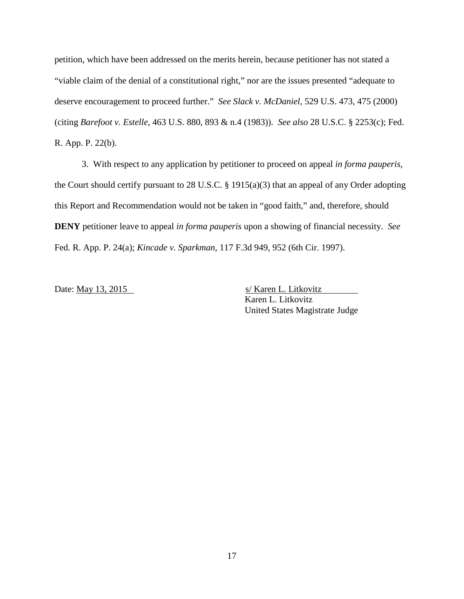petition, which have been addressed on the merits herein, because petitioner has not stated a "viable claim of the denial of a constitutional right," nor are the issues presented "adequate to deserve encouragement to proceed further." *See Slack v. McDaniel*, 529 U.S. 473, 475 (2000) (citing *Barefoot v. Estelle,* 463 U.S. 880, 893 & n.4 (1983)). *See also* 28 U.S.C. § 2253(c); Fed. R. App. P. 22(b).

 3. With respect to any application by petitioner to proceed on appeal *in forma pauperis,* the Court should certify pursuant to 28 U.S.C. § 1915(a)(3) that an appeal of any Order adopting this Report and Recommendation would not be taken in "good faith," and, therefore, should **DENY** petitioner leave to appeal *in forma pauperis* upon a showing of financial necessity. *See* Fed. R. App. P. 24(a); *Kincade v. Sparkman,* 117 F.3d 949, 952 (6th Cir. 1997).

Date: May 13, 2015 s/ Karen L. Litkovitz Karen L. Litkovitz United States Magistrate Judge